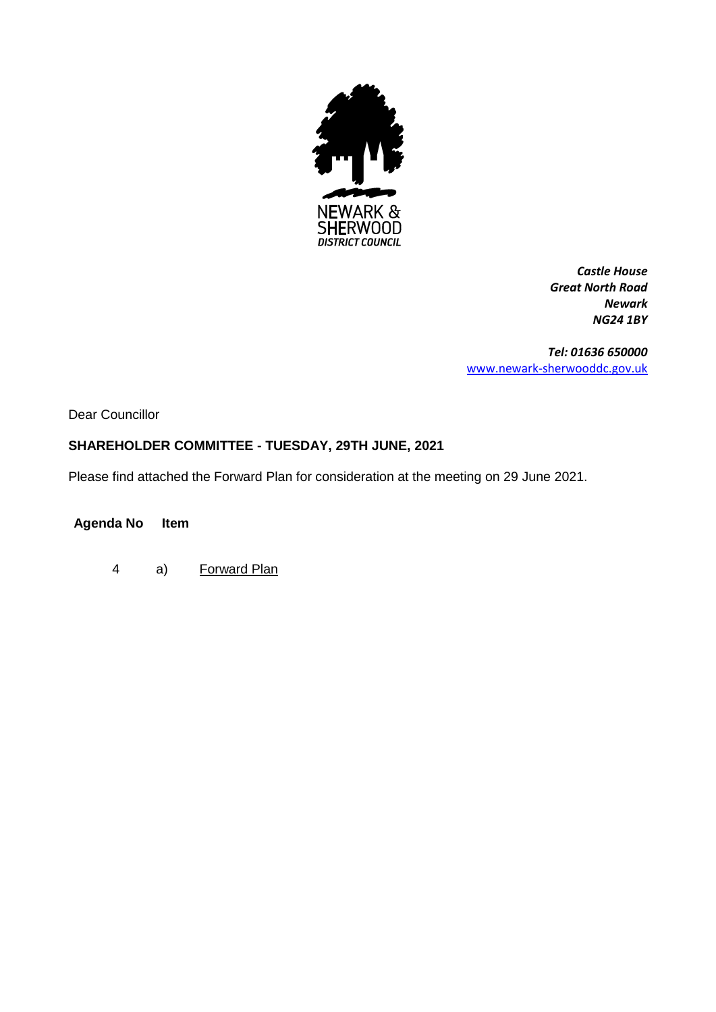

*Castle House Great North Road Newark NG24 1BY*

*Tel: 01636 650000* [www.newark-sherwooddc.gov.uk](http://www.newark-sherwooddc.gov.uk/)

Dear Councillor

## **SHAREHOLDER COMMITTEE - TUESDAY, 29TH JUNE, 2021**

Please find attached the Forward Plan for consideration at the meeting on 29 June 2021.

## **Agenda No Item**

4 a) Forward Plan